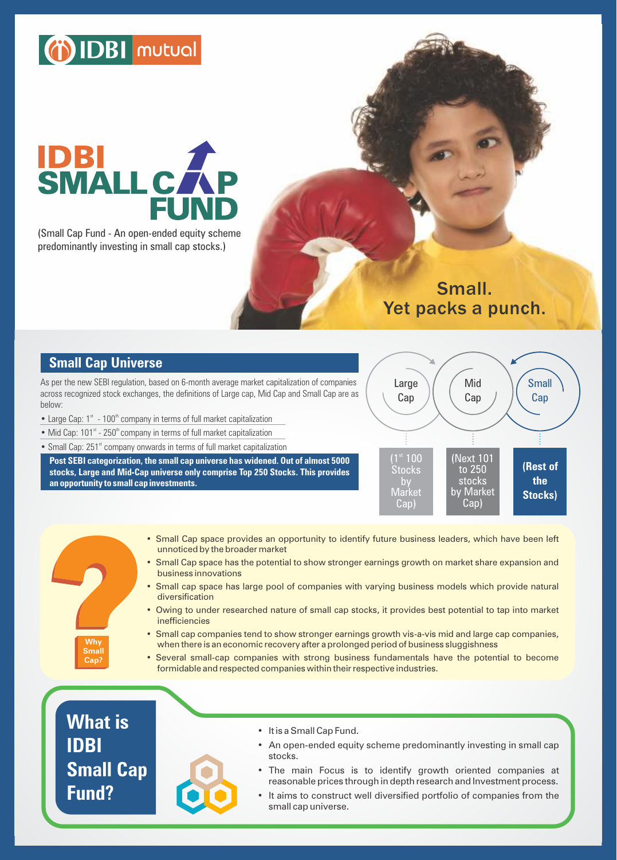# (i) IDBI mutual

# **IDBI<br>SMALL CA**

(Small Cap Fund - An open-ended equity scheme predominantly investing in small cap stocks.)

> Small. Yet packs a punch.

# **Small Cap Universe**

As per the new SEBI regulation, based on 6-month average market capitalization of companies across recognized stock exchanges, the definitions of Large cap, Mid Cap and Small Cap are as below:

- Large Cap:  $1<sup>st</sup> 100<sup>th</sup>$  company in terms of full market capitalization
- Mid Cap:  $101<sup>st</sup>$  250<sup>th</sup> company in terms of full market capitalization
- Small Cap: 251<sup>st</sup> company onwards in terms of full market capitalization

**Post SEBI categorization, the small cap universe has widened. Out of almost 5000 stocks, Large and Mid-Cap universe only comprise Top 250 Stocks. This provides an opportunity to small cap investments.**



- Small Cap space provides an opportunity to identify future business leaders, which have been left unnoticed by the broader market
- Small Cap space has the potential to show stronger earnings growth on market share expansion and business innovations
- Small cap space has large pool of companies with varying business models which provide natural diversification
- Owing to under researched nature of small cap stocks, it provides best potential to tap into market inefficiencies
- Small cap companies tend to show stronger earnings growth vis-a-vis mid and large cap companies, when there is an economic recovery after a prolonged period of business sluggishness
- Several small-cap companies with strong business fundamentals have the potential to become formidable and respected companies within their respective industries.

**What is IDBI Small Cap Fund?** 

**Why Small Cap?**



- It is a Small Cap Fund.
- An open-ended equity scheme predominantly investing in small cap stocks.
- The main Focus is to identify growth oriented companies at reasonable prices through in depth research and Investment process.
- It aims to construct well diversified portfolio of companies from the small cap universe.